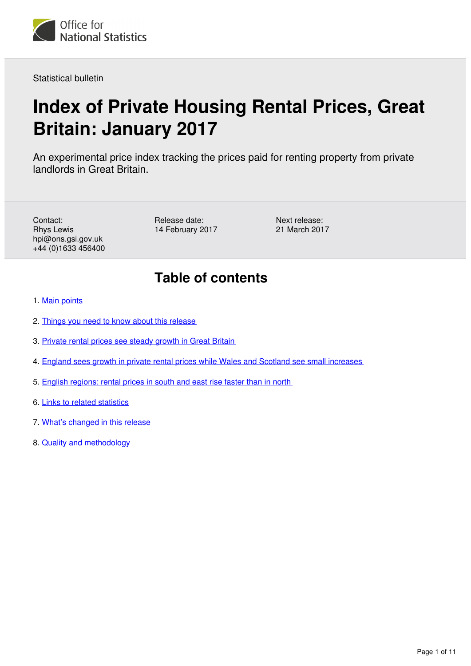

Statistical bulletin

# **Index of Private Housing Rental Prices, Great Britain: January 2017**

An experimental price index tracking the prices paid for renting property from private landlords in Great Britain.

Contact: Rhys Lewis hpi@ons.gsi.gov.uk +44 (0)1633 456400 Release date: 14 February 2017 Next release: 21 March 2017

## **Table of contents**

- 1. [Main points](#page-1-0)
- 2. [Things you need to know about this release](#page-1-1)
- 3. [Private rental prices see steady growth in Great Britain](#page-1-2)
- 4. [England sees growth in private rental prices while Wales and Scotland see small increases](#page-4-0)
- 5. [English regions: rental prices in south and east rise faster than in north](#page-6-0)
- 6. [Links to related statistics](#page-8-0)
- 7. [What's changed in this release](#page-9-0)
- 8. [Quality and methodology](#page-9-1)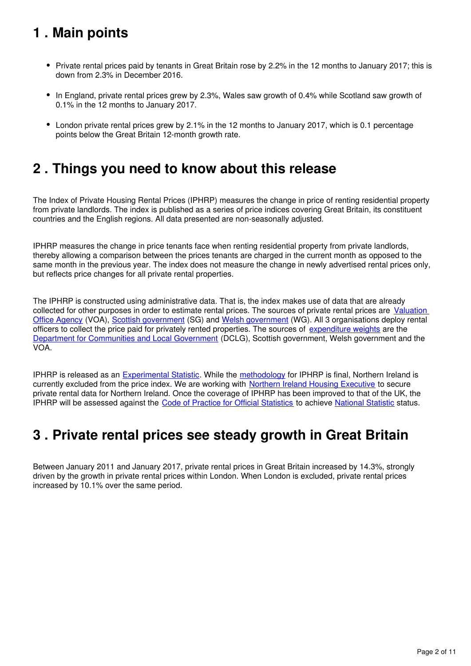## <span id="page-1-0"></span>**1 . Main points**

- Private rental prices paid by tenants in Great Britain rose by 2.2% in the 12 months to January 2017; this is down from 2.3% in December 2016.
- In England, private rental prices grew by 2.3%, Wales saw growth of 0.4% while Scotland saw growth of 0.1% in the 12 months to January 2017.
- London private rental prices grew by 2.1% in the 12 months to January 2017, which is 0.1 percentage points below the Great Britain 12-month growth rate.

### <span id="page-1-1"></span>**2 . Things you need to know about this release**

The Index of Private Housing Rental Prices (IPHRP) measures the change in price of renting residential property from private landlords. The index is published as a series of price indices covering Great Britain, its constituent countries and the English regions. All data presented are non-seasonally adjusted.

IPHRP measures the change in price tenants face when renting residential property from private landlords, thereby allowing a comparison between the prices tenants are charged in the current month as opposed to the same month in the previous year. The index does not measure the change in newly advertised rental prices only, but reflects price changes for all private rental properties.

The IPHRP is constructed using administrative data. That is, the index makes use of data that are already collected for other purposes in order to estimate rental prices. The sources of private rental prices are [Valuation](https://www.gov.uk/government/organisations/valuation-office-agency)  [Office Agency](https://www.gov.uk/government/organisations/valuation-office-agency) (VOA), [Scottish government](http://www.gov.scot/) (SG) and Welsh government (WG). All 3 organisations deploy rental officers to collect the price paid for privately rented properties. The sources of [expenditure weights](https://www.ons.gov.uk/economy/inflationandpriceindices/datasets/indexofprivatehousingrentalpricesweightsanalysis) are the [Department for Communities and Local Government](https://www.gov.uk/government/organisations/department-for-communities-and-local-government) (DCLG), Scottish government, Welsh government and the VOA.

IPHRP is released as an [Experimental Statistic](http://www.ons.gov.uk/methodology/methodologytopicsandstatisticalconcepts/guidetoexperimentalstatistics). While the methodology for IPHRP is final, Northern Ireland is currently excluded from the price index. We are working with [Northern Ireland Housing Executive](http://www.nihe.gov.uk/) to secure private rental data for Northern Ireland. Once the coverage of IPHRP has been improved to that of the UK, the IPHRP will be assessed against the [Code of Practice for Official Statistics](https://www.statisticsauthority.gov.uk/monitoring-and-assessment/code-of-practice/) toachieve National Statistic status.

### <span id="page-1-2"></span>**3 . Private rental prices see steady growth in Great Britain**

Between January 2011 and January 2017, private rental prices in Great Britain increased by 14.3%, strongly driven by the growth in private rental prices within London. When London is excluded, private rental prices increased by 10.1% over the same period.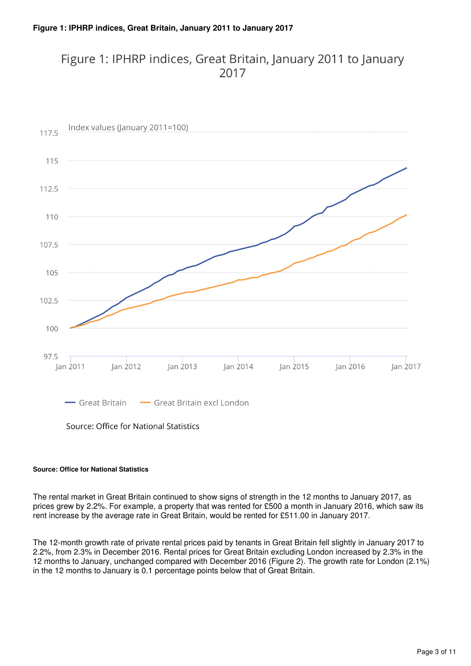### Figure 1: IPHRP indices, Great Britain, January 2011 to January 2017



#### **Source: Office for National Statistics**

The rental market in Great Britain continued to show signs of strength in the 12 months to January 2017, as prices grew by 2.2%. For example, a property that was rented for £500 a month in January 2016, which saw its rent increase by the average rate in Great Britain, would be rented for £511.00 in January 2017.

The 12-month growth rate of private rental prices paid by tenants in Great Britain fell slightly in January 2017 to 2.2%, from 2.3% in December 2016. Rental prices for Great Britain excluding London increased by 2.3% in the 12 months to January, unchanged compared with December 2016 (Figure 2). The growth rate for London (2.1%) in the 12 months to January is 0.1 percentage points below that of Great Britain.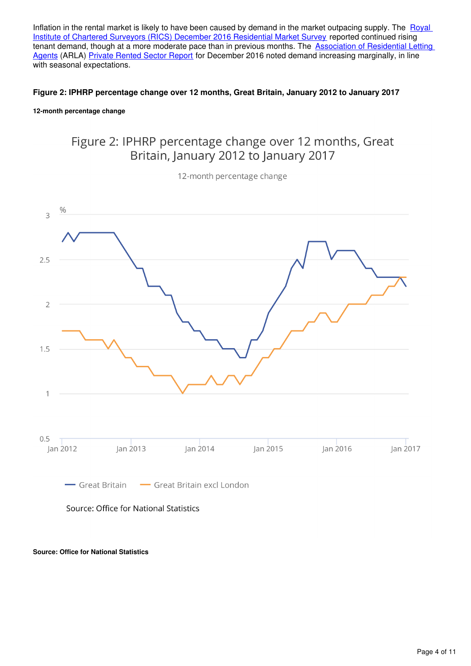Inflation in the rental market is likely to have been caused by demand in the market outpacing supply. The Royal [Institute of Chartered Surveyors \(RICS\) December 2016 Residential Market Survey](http://www.rics.org/uk/knowledge/market-analysis/rics-residential-market-survey/) reported continued rising tenant demand, though at a more moderate pace than in previous months. The **Association of Residential Letting** [Agents](http://www.arla.co.uk/) (ARLA) [Private Rented Sector Report](http://www.arla.co.uk/media/1045370/arla-prs-report-december-2016.pdf) for December 2016 noted demand increasing marginally, in line with seasonal expectations.

#### **Figure 2: IPHRP percentage change over 12 months, Great Britain, January 2012 to January 2017**

#### **12-month percentage change**

### Figure 2: IPHRP percentage change over 12 months, Great Britain, January 2012 to January 2017

12-month percentage change



Source: Office for National Statistics

#### **Source: Office for National Statistics**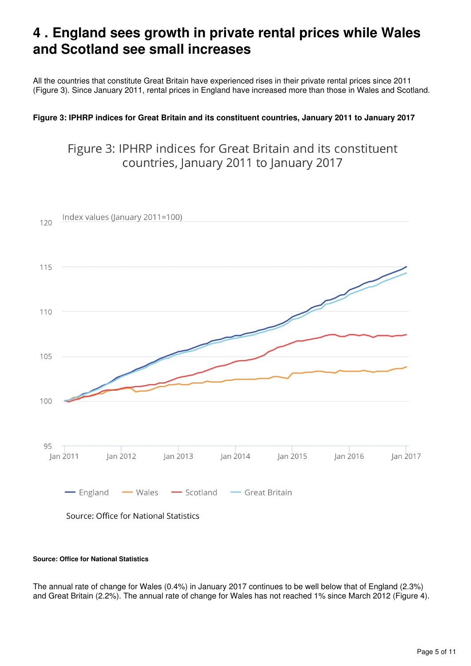### <span id="page-4-0"></span>**4 . England sees growth in private rental prices while Wales and Scotland see small increases**

All the countries that constitute Great Britain have experienced rises in their private rental prices since 2011 (Figure 3). Since January 2011, rental prices in England have increased more than those in Wales and Scotland.

#### **Figure 3: IPHRP indices for Great Britain and its constituent countries, January 2011 to January 2017**

### Figure 3: IPHRP indices for Great Britain and its constituent countries, January 2011 to January 2017



### Source: Office for National Statistics

#### **Source: Office for National Statistics**

The annual rate of change for Wales (0.4%) in January 2017 continues to be well below that of England (2.3%) and Great Britain (2.2%). The annual rate of change for Wales has not reached 1% since March 2012 (Figure 4).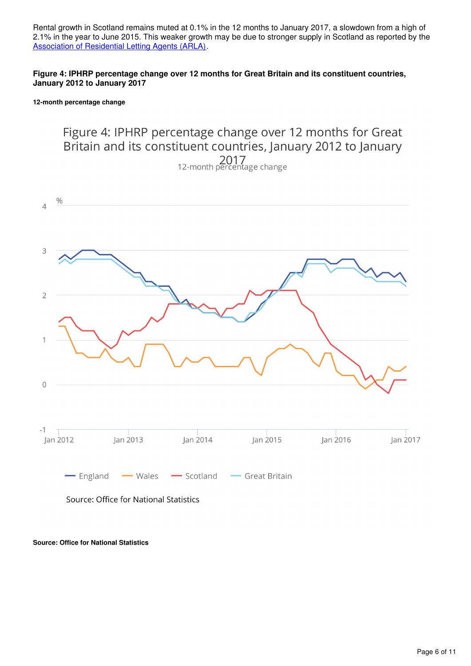Rental growth in Scotland remains muted at 0.1% in the 12 months to January 2017, a slowdown from a high of 2.1% in the year to June 2015. This weaker growth may be due to stronger supply in Scotland as reported by the [Association of Residential Letting Agents \(ARLA\).](http://www.arla.co.uk/media/1045370/arla-prs-report-december-2016.pdf)

#### **Figure 4: IPHRP percentage change over 12 months for Great Britain and its constituent countries, January 2012 to January 2017**

#### **12-month percentage change**



#### **Source: Office for National Statistics**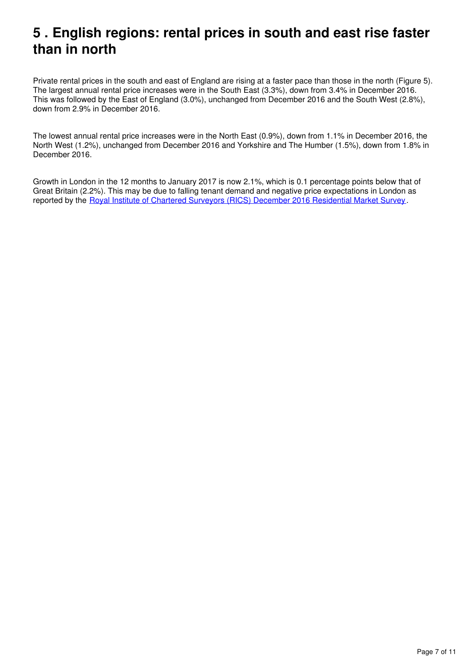### <span id="page-6-0"></span>**5 . English regions: rental prices in south and east rise faster than in north**

Private rental prices in the south and east of England are rising at a faster pace than those in the north (Figure 5). The largest annual rental price increases were in the South East (3.3%), down from 3.4% in December 2016. This was followed by the East of England (3.0%), unchanged from December 2016 and the South West (2.8%), down from 2.9% in December 2016.

The lowest annual rental price increases were in the North East (0.9%), down from 1.1% in December 2016, the North West (1.2%), unchanged from December 2016 and Yorkshire and The Humber (1.5%), down from 1.8% in December 2016.

Growth in London in the 12 months to January 2017 is now 2.1%, which is 0.1 percentage points below that of Great Britain (2.2%). This may be due to falling tenant demand and negative price expectations in London as reported by the [Royal Institute of Chartered Surveyors \(RICS\) December 2016 Residential Market Survey](http://www.rics.org/uk/knowledge/market-analysis/rics-residential-market-survey/).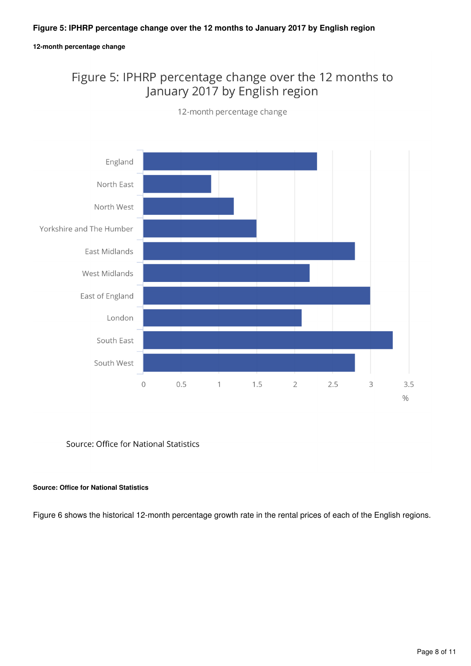#### **12-month percentage change**

### Figure 5: IPHRP percentage change over the 12 months to January 2017 by English region



12-month percentage change

Source: Office for National Statistics

#### **Source: Office for National Statistics**

Figure 6 shows the historical 12-month percentage growth rate in the rental prices of each of the English regions.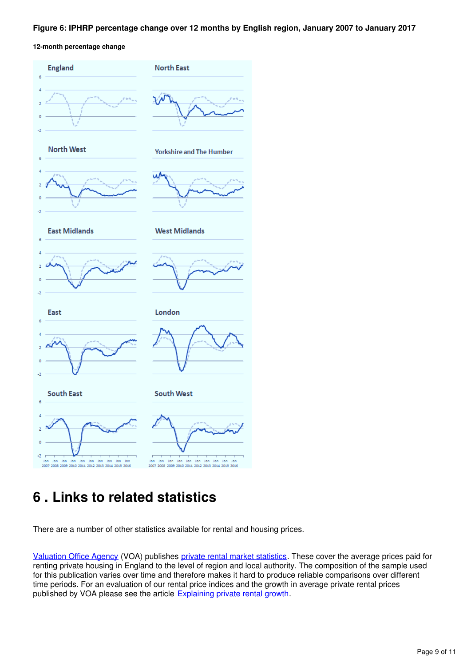#### **Figure 6: IPHRP percentage change over 12 months by English region, January 2007 to January 2017**

**12-month percentage change**



## <span id="page-8-0"></span>**6 . Links to related statistics**

There are a number of other statistics available for rental and housing prices.

[Valuation Office Agency](http://www.voa.gov.uk/) (VOA) publishes [private rental market statistics](http://www.voa.gov.uk/corporate/statisticalReleases/PrivateRentalMarketStatistics.html). These cover the average prices paid for renting private housing in England to the level of region and local authority. The composition of the sample used for this publication varies over time and therefore makes it hard to produce reliable comparisons over different time periods. For an evaluation of our rental price indices and the growth in average private rental prices published by VOA please see the article **Explaining private rental growth**[.](http://www.ons.gov.uk/ons/guide-method/user-guidance/prices/cpi-and-rpi/explaining-private-rental-growth.pdf)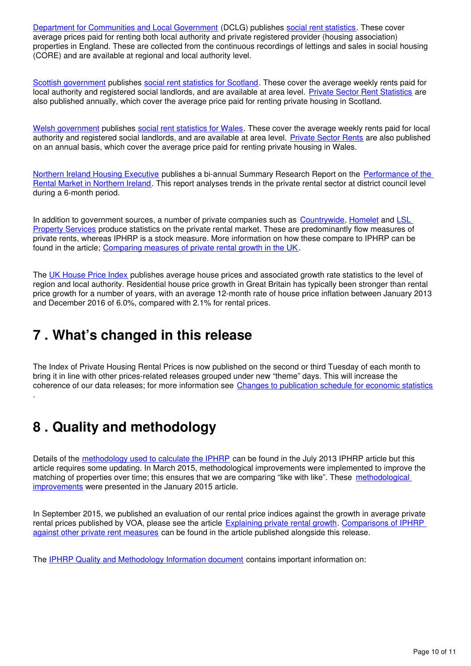[Department for Communities and Local Government](https://www.gov.uk/government/organisations/department-for-communities-and-local-government) (DCLG) publishes [social rent statistics](https://www.gov.uk/government/organisations/department-for-communities-and-local-government/series/rents-lettings-and-tenancies). These cover average prices paid for renting both local authority and private registered provider (housing association) properties in England. These are collected from the continuous recordings of lettings and sales in social housing (CORE) and are available at regional and local authority level.

[Scottish government](http://home.scotland.gov.uk/home) publishes[social rent statistics for Scotland](http://www.scotland.gov.uk/Topics/Statistics/Browse/Housing-Regeneration/HSfS/socialhousing). These cover the average weekly rents paid for local authority and registered social landlords, and are available at area level. [Private Sector Rent Statistics](http://www.gov.scot/Publications/2015/11/3376) are also published annually, which cover the average price paid for renting private housing in Scotland.

[Welsh government](http://wales.gov.uk/) publishes [social rent statistics for Wales](https://statswales.wales.gov.uk/Catalogue/Housing/Social-Housing-Stock-and-Rents). These cover the average weekly rents paid for local authority and registered social landlords, and are available at area level. [Private Sector Rents](http://gov.wales/statistics-and-research/private-sector-rents/?lang=en) are also published on an annual basis, which cover the average price paid for renting private housing in Wales.

[Northern Ireland Housing Executive](http://www.nihe.gov.uk/) publishes a bi-annual Summary Research Report on the [Performance of the](http://www.nihe.gov.uk/index/corporate/housing_research/completed/private_rented_sector_and_rents.htm)  [Rental Market in Northern Ireland.](http://www.nihe.gov.uk/index/corporate/housing_research/completed/private_rented_sector_and_rents.htm) This report analyses trends in the private rental sector at district council level during a 6-month period.

In addition to government sources[,](http://www.countrywide.co.uk/news/countrywide-monthly-lettings-index-jan-2016/)a number of private companies such as [Countrywide](http://www.countrywide.co.uk/news/countrywide-monthly-lettings-index-jan-2016/), Homelet and LSL [Property Services](http://www.lslps.co.uk/news/market-intelligence) produce statistics on the private rental market. These are predominantly flow measures of private rents, whereas IPHRP is a stock measure. More information on how these compare to IPHRP can be found in the article; [Comparing measures of private rental growth in the UK.](https://www.ons.gov.uk/economy/inflationandpriceindices/articles/comparingmeasuresofprivaterentalgrowthintheuk/previousReleases)

The [UK House Price Index](http://landregistry.data.gov.uk/app/ukhpi) publishes average house prices and associated growth rate statistics to the level of region and local authority. Residential house price growth in Great Britain has typically been stronger than rental price growth for a number of years, with an average 12-month rate of house price inflation between January 2013 and December 2016 of 6.0%, compared with 2.1% for rental prices.

### <span id="page-9-0"></span>**7 . What's changed in this release**

The Index of Private Housing Rental Prices is now published on the second or third Tuesday of each month to bring it in line with other prices-related releases grouped under new "theme" days. This will increase the coherence of our data releases; for more information see [Changes to publication schedule for economic statistics](https://www.ons.gov.uk/news/news/changestopublicationscheduleforeconomicstatistics)

## <span id="page-9-1"></span>**8 . Quality and methodology**

.

Details of the [methodology used to calculate the IPHRP](http://webarchive.nationalarchives.gov.uk/20160105160709/http:/www.ons.gov.uk/ons/rel/hpi/index-of-private-housing-rental-prices/historical-series/iphrp-article.html) can be found in the July 2013 IPHRP article but this article requires some updating. In March 2015, methodological improvements were implemented to improve the matching of properties over time; this ensures that we are comparing "like with like". These [methodological](http://webarchive.nationalarchives.gov.uk/20160105160709/http:/www.ons.gov.uk/ons/guide-method/user-guidance/prices/cpi-and-rpi/index.html)  [improvements](http://webarchive.nationalarchives.gov.uk/20160105160709/http:/www.ons.gov.uk/ons/guide-method/user-guidance/prices/cpi-and-rpi/index.html) were presented in the January 2015 article.

In September 2015, we published an evaluation of our rental price indices against the growth in average private rental prices published by VOA, please see the article [Explaining private rental growth](http://webarchive.nationalarchives.gov.uk/20160105160709/http:/www.ons.gov.uk/ons/guide-method/user-guidance/prices/cpi-and-rpi/explaining-private-rental-growth.pdf). Comparisons of IPHRP [against other private rent measures](https://www.ons.gov.uk/releases/comparingmeasuresofprivaterentalgrowthintheukquarter1jantomar2017) can be found in the article published alongside this release.

The [IPHRP Quality and Methodology Information document](http://www.ons.gov.uk/economy/inflationandpriceindices/qmis/indexofprivatehousingrentalpricesqmi) contains important information on: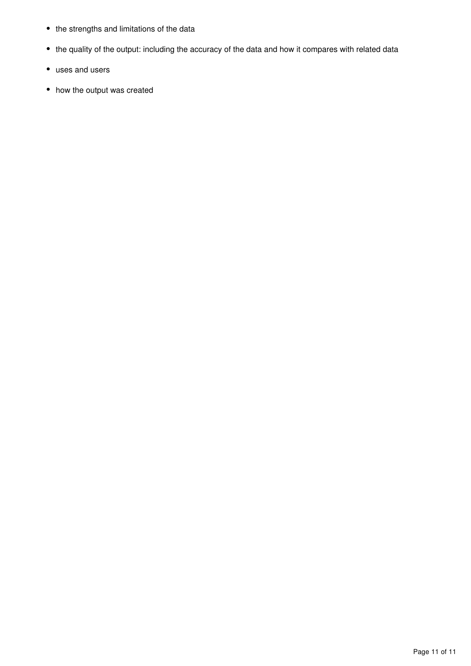- the strengths and limitations of the data
- the quality of the output: including the accuracy of the data and how it compares with related data
- uses and users
- how the output was created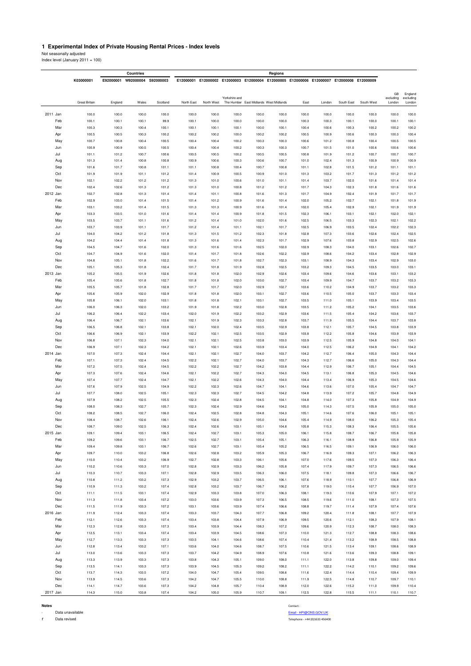#### **1 Experimental Index of Private Housing Rental Prices - Index levels**

Not seasonally adjusted Index level (January 2011 = 100)

|          |            |                |                | Countries           |                |                |                |                |                | Regions                                |                                                                                           |                |                |                |                 |                      |
|----------|------------|----------------|----------------|---------------------|----------------|----------------|----------------|----------------|----------------|----------------------------------------|-------------------------------------------------------------------------------------------|----------------|----------------|----------------|-----------------|----------------------|
|          |            | K03000001      | E92000001      | W92000004 S92000003 |                |                |                |                |                |                                        | E12000001 E12000002 E12000003 E12000004 E12000005 E12000006 E12000007 E12000008 E12000009 |                |                |                |                 |                      |
|          |            |                |                |                     |                |                |                |                |                |                                        |                                                                                           |                |                |                |                 |                      |
|          |            |                |                |                     |                |                |                | Yorkshire and  |                |                                        |                                                                                           |                |                |                | GB<br>excluding | England<br>excluding |
|          |            | Great Britain  | England        | Wales               | Scotland       | North East     | North West     |                |                | The Humber East Midlands West Midlands | East                                                                                      | London         | South East     | South West     | London          | London               |
| 2011 Jan |            | 100.0          | 100.0          | 100.0               | 100.0          | 100.0          | 100.0          | 100.0          | 100.0          | 100.0                                  | 100.0                                                                                     | 100.0          | 100.0          | 100.0          | 100.0           | 100.0                |
|          | Feb        | 100.1          | 100.1          | 100.1               | 99.9           | 100.1          | 100.0          | 100.0          | 100.0          | 100.0                                  | 100.3                                                                                     | 100.3          | 100.1          | 100.0          | 100.1           | 100.1                |
|          | Mar        | 100.3          | 100.3          | 100.4               | 100.1          | 100.1          | 100.1          | 100.1          | 100.0          | 100.1                                  | 100.4                                                                                     | 100.6          | 100.3          | 100.2          | 100.2           | 100.2                |
|          | Apr        | 100.5          | 100.5          | 100.3               | 100.2          | 100.2          | 100.2          | 100.0          | 100.2          | 100.2                                  | 100.5                                                                                     | 100.9          | 100.6          | 100.3          | 100.3           | 100.4                |
|          | May        | 100.7          | 100.8          | 100.4               | 100.5          | 100.4          | 100.4          | 100.2          | 100.3          | 100.3                                  | 100.6                                                                                     | 101.2          | 100.8          | 100.4          | 100.5           | 100.5                |
|          | Jun        | 100.9          | 100.9          | 100.5               | 100.5          | 100.4          | 100.4          | 100.2          | 100.3          | 100.3                                  | 100.7                                                                                     | 101.5          | 101.0          | 100.6          | 100.6           | 100.6                |
|          | Jul        | 101.1          | 101.2          | 100.7               | 100.6          | 100.5          | 100.5          | 100.2          | 100.5          | 100.5                                  | 100.8                                                                                     | 101.9          | 101.2          | 100.7          | 100.7           | 100.7                |
|          | Aug        | 101.3          | 101.4          | 100.8               | 100.8          | 100.9          | 100.6          | 100.3          | 100.6          | 100.7                                  | 101.0                                                                                     | 102.4          | 101.3          | 100.9          | 100.9           | 100.9                |
|          | Sep        | 101.6          | 101.7          | 100.8               | 101.1          | 101.1          | 100.8          | 100.4          | 100.7          | 100.8                                  | 101.1                                                                                     | 102.8          | 101.5          | 101.2          | 101.1           | 101.1                |
|          | Oct        | 101.9          | 101.9          | 101.1               | 101.2          | 101.4          | 100.9          | 100.5          | 100.9          | 101.0                                  | 101.3                                                                                     | 103.2          | 101.7          | 101.3          | 101.2           | 101.2                |
|          | Nov<br>Dec | 102.1<br>102.4 | 102.2<br>102.6 | 101.2               | 101.2<br>101.2 | 101.3<br>101.3 | 101.0<br>101.0 | 100.6<br>100.8 | 101.0<br>101.2 | 101.1<br>101.2                         | 101.4                                                                                     | 103.7<br>104.3 | 102.0<br>102.3 | 101.6<br>101.8 | 101.4<br>101.6  | 101.4<br>101.6       |
| 2012 Jan |            | 102.7          | 102.8          | 101.3<br>101.3      | 101.4          | 101.4          | 101.1          | 100.8          | 101.6          | 101.3                                  | 101.7<br>101.7                                                                            | 104.9          | 102.4          | 101.9          | 101.7           | 101.7                |
|          | Feb        | 102.9          | 103.0          | 101.4               | 101.5          | 101.4          | 101.2          | 100.9          | 101.6          | 101.4                                  | 102.0                                                                                     | 105.2          | 102.7          | 102.1          | 101.8           | 101.9                |
|          | Mar        | 103.1          | 103.2          | 101.4               | 101.5          | 101.3          | 101.3          | 100.9          | 101.6          | 101.4                                  | 102.0                                                                                     | 105.4          | 102.9          | 102.1          | 101.9           | 101.9                |
|          | Apr        | 103.3          | 103.5          | 101.0               | 101.6          | 101.4          | 101.4          | 100.9          | 101.8          | 101.5                                  | 102.3                                                                                     | 106.1          | 103.1          | 102.1          | 102.0           | 102.1                |
|          | May        | 103.5          | 103.7          | 101.1               | 101.6          | 101.2          | 101.4          | 101.0          | 102.0          | 101.6                                  | 102.5                                                                                     | 106.5          | 103.3          | 102.3          | 102.1           | 102.2                |
|          | Jun        | 103.7          | 103.9          | 101.1               | 101.7          | 101.2          | 101.4          | 101.1          | 102.1          | 101.7                                  | 102.5                                                                                     | 106.9          | 103.5          | 102.4          | 102.2           | 102.3                |
|          | Jul        | 104.0          | 104.2          | 101.2               | 101.8          | 101.3          | 101.5          | 101.2          | 102.3          | 101.8                                  | 102.8                                                                                     | 107.3          | 103.6          | 102.6          | 102.4           | 102.5                |
|          | Aug        | 104.2          | 104.4          | 101.4               | 101.8          | 101.3          | 101.6          | 101.4          | 102.3          | 101.7                                  | 102.9                                                                                     | 107.6          | 103.8          | 102.9          | 102.5           | 102.6                |
|          | Sep        | 104.5          | 104.7          | 101.6               | 102.0          | 101.3          | 101.6          | 101.6          | 102.5          | 102.0                                  | 102.9                                                                                     | 108.3          | 104.0          | 103.1          | 102.6           | 102.7                |
|          | Oct        | 104.7          | 104.9          | 101.6               | 102.0          | 101.4          | 101.7          | 101.8          | 102.6          | 102.2                                  | 102.9                                                                                     | 108.6          | 104.2          | 103.4          | 102.8           | 102.9                |
|          | Nov        | 104.8          | 105.1          | 101.8               | 102.2          | 101.6          | 101.7          | 101.8          | 102.7          | 102.3                                  | 103.1                                                                                     | 108.9          | 104.3          | 103.4          | 102.9           | 103.0                |
| 2013 Jan | Dec        | 105.1<br>105.2 | 105.3<br>105.5 | 101.8<br>101.9      | 102.4<br>102.6 | 101.7<br>101.8 | 101.8<br>101.8 | 101.9<br>102.0 | 102.8<br>102.9 | 102.5<br>102.6                         | 103.2<br>103.4                                                                            | 109.3<br>109.6 | 104.5<br>104.6 | 103.5<br>103.6 | 103.0<br>103.1  | 103.1<br>103.2       |
|          | Feb        | 105.4          | 105.6          | 101.8               | 102.7          | 101.8          | 101.8          | 102.0          | 103.0          | 102.7                                  | 103.4                                                                                     | 109.9          | 104.7          | 103.7          | 103.2           | 103.3                |
|          | Mar        | 105.5          | 105.7          | 101.8               | 102.8          | 101.7          | 101.7          | 102.0          | 102.9          | 102.7                                  | 103.6                                                                                     | 110.2          | 104.9          | 103.7          | 103.2           | 103.3                |
|          | Apr        | 105.6          | 105.9          | 102.0               | 102.9          | 101.8          | 101.8          | 102.0          | 103.1          | 102.7                                  | 103.6                                                                                     | 110.5          | 105.0          | 103.7          | 103.3           | 103.4                |
|          | May        | 105.8          | 106.1          | 102.0               | 103.1          | 101.8          | 101.8          | 102.1          | 103.1          | 102.7                                  | 103.5                                                                                     | 111.0          | 105.1          | 103.9          | 103.4           | 103.5                |
|          | Jun        | 106.0          | 106.3          | 102.0               | 103.2          | 101.9          | 101.8          | 102.2          | 103.0          | 102.8                                  | 103.5                                                                                     | 111.2          | 105.2          | 104.1          | 103.5           | 103.6                |
|          | Jul        | 106.2          | 106.4          | 102.2               | 103.4          | 102.0          | 101.9          | 102.2          | 103.2          | 102.9                                  | 103.6                                                                                     | 111.5          | 105.4          | 104.2          | 103.6           | 103.7                |
|          | Aug        | 106.4          | 106.7          | 102.1               | 103.6          | 102.1          | 101.9          | 102.3          | 103.3          | 102.8                                  | 103.7                                                                                     | 111.9          | 105.5          | 104.4          | 103.7           | 103.8                |
|          | Sep        | 106.5          | 106.8          | 102.1               | 103.8          | 102.1          | 102.0          | 102.4          | 103.5          | 102.9                                  | 103.8                                                                                     | 112.1          | 105.7          | 104.5          | 103.8           | 103.9                |
|          | Oct        | 106.6          | 106.9          | 102.1               | 103.9          | 102.2          | 102.1          | 102.5          | 103.5          | 102.9                                  | 103.8                                                                                     | 112.2          | 105.8          | 104.6          | 103.9           | 103.9                |
|          | Nov        | 106.8          | 107.1          | 102.3               | 104.0          | 102.1          | 102.1          | 102.5          | 103.8          | 103.0                                  | 103.9                                                                                     | 112.5          | 105.9          | 104.8          | 104.0           | 104.1                |
|          | Dec        | 106.9          | 107.1          | 102.3               | 104.2          | 102.1          | 102.1          | 102.6          | 103.9          | 103.4                                  | 104.0                                                                                     | 112.5          | 106.2          | 104.9          | 104.1           | 104.2                |
| 2014 Jan |            | 107.0          | 107.3          | 102.4               | 104.4          | 102.1          | 102.1          | 102.7          | 104.0          | 103.7                                  | 104.2                                                                                     | 112.7          | 106.4          | 105.0          | 104.3           | 104.4                |
|          | Feb        | 107.1          | 107.3          | 102.4               | 104.5          | 102.2          | 102.1          | 102.7          | 104.0          | 103.7                                  | 104.3                                                                                     | 112.7          | 106.6          | 105.0          | 104.3           | 104.4                |
|          | Mar<br>Apr | 107.2<br>107.3 | 107.5<br>107.6 | 102.4<br>102.4      | 104.5<br>104.6 | 102.2<br>102.1 | 102.2<br>102.2 | 102.7<br>102.7 | 104.2<br>104.3 | 103.8<br>104.0                         | 104.4<br>104.5                                                                            | 112.9<br>113.1 | 106.7<br>106.8 | 105.1<br>105.3 | 104.4<br>104.5  | 104.5<br>104.6       |
|          | May        | 107.4          | 107.7          | 102.4               | 104.7          | 102.1          | 102.2          | 102.6          | 104.3          | 104.0                                  | 104.4                                                                                     | 113.4          | 106.9          | 105.3          | 104.5           | 104.6                |
|          | Jun        | 107.6          | 107.9          | 102.5               | 104.9          | 102.2          | 102.3          | 102.6          | 104.7          | 104.1                                  | 104.6                                                                                     | 113.6          | 107.0          | 105.4          | 104.7           | 104.7                |
|          | Jul        | 107.7          | 108.0          | 102.5               | 105.1          | 102.3          | 102.3          | 102.7          | 104.5          | 104.2                                  | 104.8                                                                                     | 113.9          | 107.2          | 105.7          | 104.8           | 104.9                |
|          | Aug        | 107.9          | 108.2          | 102.5               | 105.5          | 102.3          | 102.4          | 102.8          | 104.5          | 104.1                                  | 104.8                                                                                     | 114.0          | 107.3          | 105.8          | 104.9           | 104.9                |
|          | Sep        | 108.0          | 108.3          | 102.7               | 105.7          | 102.3          | 102.4          | 102.9          | 104.6          | 104.2                                  | 105.0                                                                                     | 114.3          | 107.5          | 105.9          | 105.0           | 105.0                |
|          | Oct        | 108.2          | 108.5          | 102.7               | 106.0          | 102.4          | 102.5          | 102.8          | 104.8          | 104.3                                  | 105.1                                                                                     | 114.6          | 107.6          | 106.0          | 105.1           | 105.1                |
|          | Nov        | 108.4          | 108.7          | 102.6               | 106.1          | 102.4          | 102.6          | 102.9          | 105.0          | 104.6                                  | 105.4                                                                                     | 114.9          | 108.0          | 106.2          | 105.3           | 105.4                |
|          | Dec        | 108.7          | 109.0          | 102.5               | 106.3          | 102.4          | 102.6          | 103.1          | 105.1          | 104.8                                  | 105.8                                                                                     | 115.3          | 108.3          | 106.4          | 105.5           | 105.6                |
| 2015 Jan |            | 109.1          | 109.4          | 103.1               | 106.5          | 102.4          | 102.7          | 103.1          | 105.3          | 105.0                                  | 106.1                                                                                     | 115.8          | 108.7          | 106.7          | 105.8           | 105.8                |
|          | Feb        | 109.2          | 109.6          | 103.1               | 106.7          | 102.5          | 102.7          | 103.1          | 105.4          | 105.1                                  | 106.3                                                                                     | 116.1          | 108.9          | 106.8          | 105.9           | 105.9                |
|          | Mar        | 109.4          | 109.8          | 103.1               | 106.7          | 102.6          | 102.7          | 103.1          | 105.4          | 105.2                                  | 106.5                                                                                     | 116.5          | 109.1          | 106.9          | 106.0           | 106.0                |
|          | Apr<br>May | 109.7<br>110.0 | 110.0<br>110.4 | 103.2<br>103.2      | 106.8<br>106.9 | 102.6<br>102.7 | 102.8<br>102.8 | 103.2<br>103.3 | 105.9<br>106.1 | 105.3<br>105.6                         | 106.7<br>107.0                                                                            | 116.9<br>117.6 | 109.3<br>109.5 | 107.1<br>107.3 | 106.2<br>106.3  | 106.3<br>106.4       |
|          | Jun        | 110.2          | 110.6          | 103.3               | 107.0          | 102.8          | 102.9          | 103.3          | 106.2          | 105.8                                  | 107.4                                                                                     | 117.9          | 109.7          | 107.3          | 106.5           | 106.6                |
|          | Jul        | 110.3          | 110.7          | 103.3               | 107.1          | 102.8          | 102.9          | 103.5          | 106.3          | 106.0                                  | 107.5                                                                                     | 118.1          | 109.8          | 107.3          | 106.6           | 106.7                |
|          | Aug        | 110.8          | 111.2          | 103.2               | 107.3          | 102.9          | 103.2          | 103.7          | 106.5          | 106.1                                  | 107.6                                                                                     | 118.9          | 110.1          | 107.7          | 106.8           | 106.9                |
|          | Sep        | 110.9          | 111.3          | 103.2               | 107.4          | 102.8          | 103.2          | 103.7          | 106.7          | 106.2                                  | 107.8                                                                                     | 119.0          | 110.4          | 107.7          | 106.9           | 107.0                |
|          | Oct        | 111.1          | 111.5          | 103.1               | 107.4          | 102.9          | 103.3          | 103.8          | 107.0          | 106.3                                  | 108.1                                                                                     | 119.3          | 110.6          | 107.9          | 107.1           | 107.2                |
|          | Nov        | 111.3          | 111.8          | 103.4               | 107.2          | 103.0          | 103.6          | 103.9          | 107.3          | 106.5                                  | 108.5                                                                                     | 119.6          | 111.0          | 108.1          | 107.3           | 107.5                |
|          | Dec        | 111.5          | 111.9          | 103.3               | 107.2          | 103.1          | 103.6          | 103.9          | 107.4          | 106.6                                  | 108.8                                                                                     | 119.7          | 111.4          | 107.9          | 107.4           | 107.6                |
| 2016 Jan |            | 111.9          | 112.4          | 103.3               | 107.4          | 103.3          | 103.7          | 104.3          | 107.7          | 106.8                                  | 109.2                                                                                     | 120.4          | 111.8          | 108.1          | 107.7           | 107.9                |
|          | Feb        | 112.1          | 112.6          | 103.3               | 107.4          | 103.4          | 103.8          | 104.4          | 107.9          | 106.9                                  | 109.5                                                                                     | 120.6          | 112.1          | 108.3          | 107.9           | 108.1                |
|          | Mar        | 112.3          | 112.8          | 103.3               | 107.3          | 103.4          | 103.9          | 104.4          | 108.3          | 107.2                                  | 109.6                                                                                     | 120.9          | 112.3          | 108.7          | 108.0           | 108.3                |
|          | Apr        | 112.5          | 113.1          | 103.4               | 107.4          | 103.4          | 103.9          | 104.5          | 108.6          | 107.3                                  | 110.0                                                                                     | 121.3          | 112.7          | 108.8          | 108.3           | 108.6                |
|          | May        | 112.7          | 113.3          | 103.3               | 107.3          | 103.5          | 104.1          | 104.6          | 108.6          | 107.4                                  | 110.4                                                                                     | 121.4          | 113.2          | 108.9          | 108.5           | 108.8                |
|          | Jun        | 112.8          | 113.4          | 103.2               | 107.1          | 103.6          | 104.0          | 104.6          | 108.7          | 107.5                                  | 110.6                                                                                     | 121.5          | 113.4          | 109.1          | 108.6           | 108.9                |
|          | Jul        | 113.0          | 113.6          | 103.3               | 107.3          | 103.7          | 104.2          | 104.9          | 108.9          | 107.6                                  | 110.8                                                                                     | 121.6          | 113.6          | 109.3          | 108.8           | 109.1                |
|          | Aug        | 113.3          | 113.9          | 103.3               | 107.3          | 103.8          | 104.3          | 105.1          | 109.0          | 108.0                                  | 111.1                                                                                     | 122.0          | 113.8          | 109.8          | 109.0           | 109.4                |
|          | Sep<br>Oct | 113.5<br>113.7 | 114.1<br>114.3 | 103.3<br>103.5      | 107.3<br>107.2 | 103.9<br>104.0 | 104.5<br>104.7 | 105.3<br>105.4 | 109.2<br>109.5 | 108.2<br>108.6                         | 111.1<br>111.6                                                                            | 122.2<br>122.4 | 114.2<br>114.4 | 110.1<br>110.4 | 109.2<br>109.4  | 109.6<br>109.9       |
|          | Nov        | 113.9          | 114.5          | 103.6               | 107.3          | 104.2          | 104.7          | 105.5          | 110.0          | 108.8                                  | 111.9                                                                                     | 122.5          | 114.8          | 110.7          | 109.7           | 110.1                |
|          | Dec        | 114.1          | 114.7          | 103.6               | 107.3          | 104.2          | 104.8          | 105.7          | 110.4          | 108.9                                  | 112.0                                                                                     | 122.6          | 115.2          | 111.0          | 109.9           | 110.4                |
| 2017 Jan |            | 114.3          | 115.0          | 103.8               | 107.4          | 104.2          | 105.0          | 105.9          | 110.7          | 109.1                                  | 112.5                                                                                     | 122.8          | 115.5          | 111.1          | 110.1           | 110.7                |

**Notes** Contact: **Contact: Contact: Contact: Contact: Contact: Contact: Contact: Contact: Contact: Contact: Contact: Contact: Contact: Contact: Contact: Contact: Contact: Contact: Contact: Contact: Contact: Contact: Contac** 

- Data unavailable Particles of the Second Construction of the Second Construction of the Second Construction of the Second Construction of the Data revised the Data revised of the Second Construction of the Second Constru